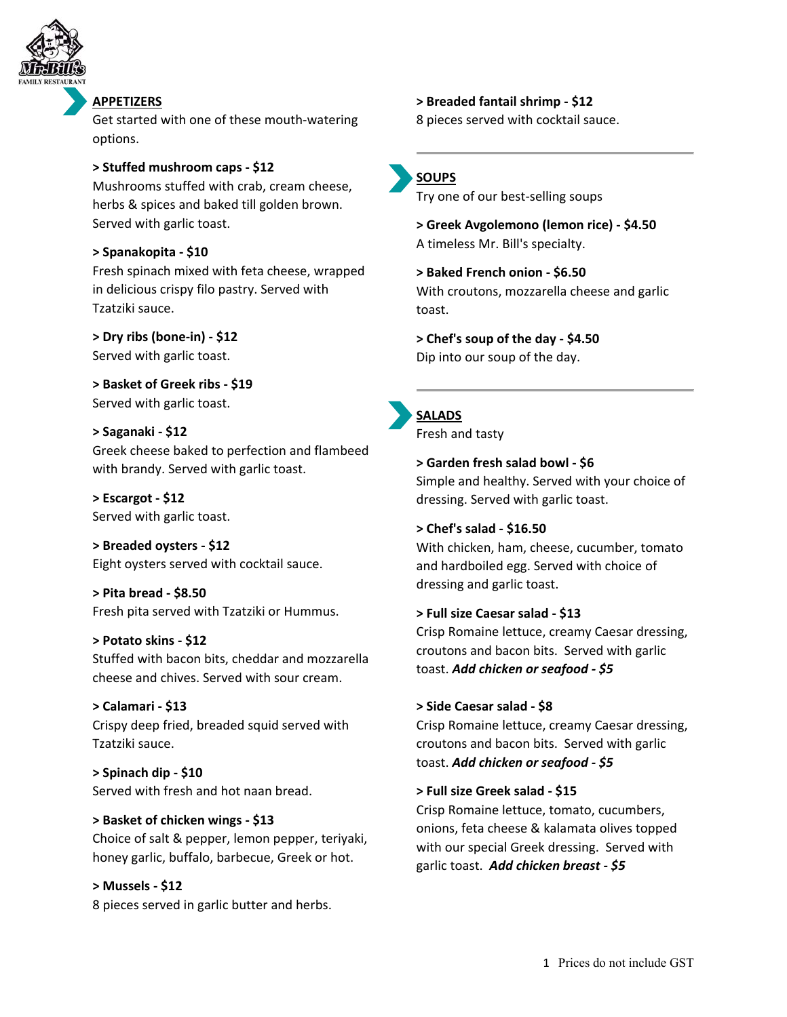

#### **APPETIZERS**

Get started with one of these mouth‐watering options.

#### **> Stuffed mushroom caps ‐ \$12**

Mushrooms stuffed with crab, cream cheese, herbs & spices and baked till golden brown. Served with garlic toast.

#### **> Spanakopita ‐ \$10**

Fresh spinach mixed with feta cheese, wrapped in delicious crispy filo pastry. Served with Tzatziki sauce.

**> Dry ribs (bone‐in) ‐ \$12** Served with garlic toast.

**> Basket of Greek ribs ‐ \$19** Served with garlic toast.

**> Saganaki ‐ \$12** Greek cheese baked to perfection and flambeed with brandy. Served with garlic toast.

**> Escargot ‐ \$12** Served with garlic toast.

**> Breaded oysters ‐ \$12** Eight oysters served with cocktail sauce.

**> Pita bread ‐ \$8.50** Fresh pita served with Tzatziki or Hummus.

**> Potato skins ‐ \$12** Stuffed with bacon bits, cheddar and mozzarella cheese and chives. Served with sour cream.

**> Calamari ‐ \$13** Crispy deep fried, breaded squid served with Tzatziki sauce.

**> Spinach dip ‐ \$10** Served with fresh and hot naan bread.

**> Basket of chicken wings ‐ \$13** Choice of salt & pepper, lemon pepper, teriyaki, honey garlic, buffalo, barbecue, Greek or hot.

**> Mussels ‐ \$12** 8 pieces served in garlic butter and herbs. **> Breaded fantail shrimp ‐ \$12**

8 pieces served with cocktail sauce.



Try one of our best‐selling soups

**> Greek Avgolemono (lemon rice) ‐ \$4.50** A timeless Mr. Bill's specialty.

**> Baked French onion ‐ \$6.50** With croutons, mozzarella cheese and garlic toast.

**> Chef's soup of the day ‐ \$4.50** Dip into our soup of the day.



Fresh and tasty

**> Garden fresh salad bowl ‐ \$6** Simple and healthy. Served with your choice of dressing. Served with garlic toast.

#### **> Chef's salad ‐ \$16.50**

With chicken, ham, cheese, cucumber, tomato and hardboiled egg. Served with choice of dressing and garlic toast.

#### **> Full size Caesar salad ‐ \$13**

Crisp Romaine lettuce, creamy Caesar dressing, croutons and bacon bits. Served with garlic toast. *Add chicken or seafood ‐ \$5*

#### **> Side Caesar salad ‐ \$8**

Crisp Romaine lettuce, creamy Caesar dressing, croutons and bacon bits. Served with garlic toast. *Add chicken or seafood ‐ \$5*

#### **> Full size Greek salad ‐ \$15**

Crisp Romaine lettuce, tomato, cucumbers, onions, feta cheese & kalamata olives topped with our special Greek dressing. Served with garlic toast. *Add chicken breast ‐ \$5*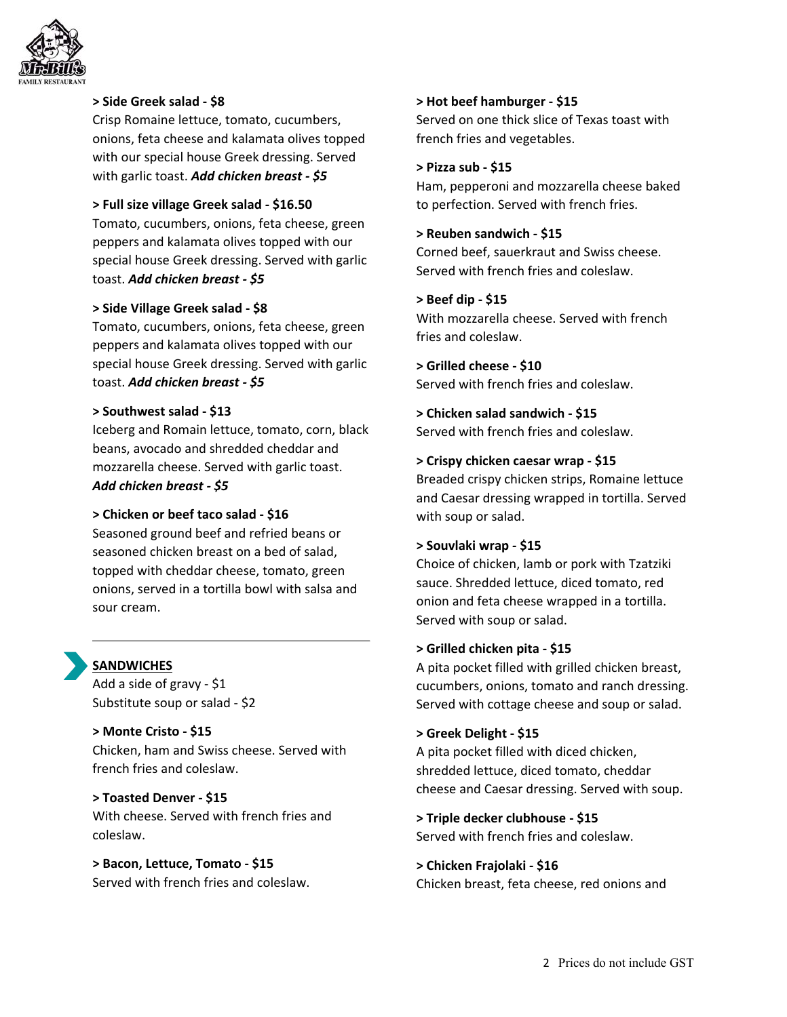

#### **> Side Greek salad ‐ \$8**

Crisp Romaine lettuce, tomato, cucumbers, onions, feta cheese and kalamata olives topped with our special house Greek dressing. Served with garlic toast. *Add chicken breast ‐ \$5*

#### **> Full size village Greek salad ‐ \$16.50**

Tomato, cucumbers, onions, feta cheese, green peppers and kalamata olives topped with our special house Greek dressing. Served with garlic toast. *Add chicken breast ‐ \$5*

#### **> Side Village Greek salad ‐ \$8**

Tomato, cucumbers, onions, feta cheese, green peppers and kalamata olives topped with our special house Greek dressing. Served with garlic toast. *Add chicken breast ‐ \$5*

#### **> Southwest salad ‐ \$13**

Iceberg and Romain lettuce, tomato, corn, black beans, avocado and shredded cheddar and mozzarella cheese. Served with garlic toast. *Add chicken breast ‐ \$5*

#### **> Chicken or beef taco salad ‐ \$16**

Seasoned ground beef and refried beans or seasoned chicken breast on a bed of salad, topped with cheddar cheese, tomato, green onions, served in a tortilla bowl with salsa and sour cream.

#### **SANDWICHES**

Add a side of gravy ‐ \$1 Substitute soup or salad ‐ \$2

**> Monte Cristo ‐ \$15** Chicken, ham and Swiss cheese. Served with french fries and coleslaw.

**> Toasted Denver ‐ \$15** With cheese. Served with french fries and coleslaw.

**> Bacon, Lettuce, Tomato ‐ \$15** Served with french fries and coleslaw.

#### **> Hot beef hamburger ‐ \$15**

Served on one thick slice of Texas toast with french fries and vegetables.

#### **> Pizza sub ‐ \$15**

Ham, pepperoni and mozzarella cheese baked to perfection. Served with french fries.

#### **> Reuben sandwich ‐ \$15**

Corned beef, sauerkraut and Swiss cheese. Served with french fries and coleslaw.

#### **> Beef dip ‐ \$15**

With mozzarella cheese. Served with french fries and coleslaw.

#### **> Grilled cheese ‐ \$10** Served with french fries and coleslaw.

**> Chicken salad sandwich ‐ \$15** Served with french fries and coleslaw.

#### **> Crispy chicken caesar wrap ‐ \$15**

Breaded crispy chicken strips, Romaine lettuce and Caesar dressing wrapped in tortilla. Served with soup or salad.

#### **> Souvlaki wrap ‐ \$15**

Choice of chicken, lamb or pork with Tzatziki sauce. Shredded lettuce, diced tomato, red onion and feta cheese wrapped in a tortilla. Served with soup or salad.

#### **> Grilled chicken pita ‐ \$15**

A pita pocket filled with grilled chicken breast, cucumbers, onions, tomato and ranch dressing. Served with cottage cheese and soup or salad.

#### **> Greek Delight ‐ \$15**

A pita pocket filled with diced chicken, shredded lettuce, diced tomato, cheddar cheese and Caesar dressing. Served with soup.

**> Triple decker clubhouse ‐ \$15** Served with french fries and coleslaw.

#### **> Chicken Frajolaki ‐ \$16**

Chicken breast, feta cheese, red onions and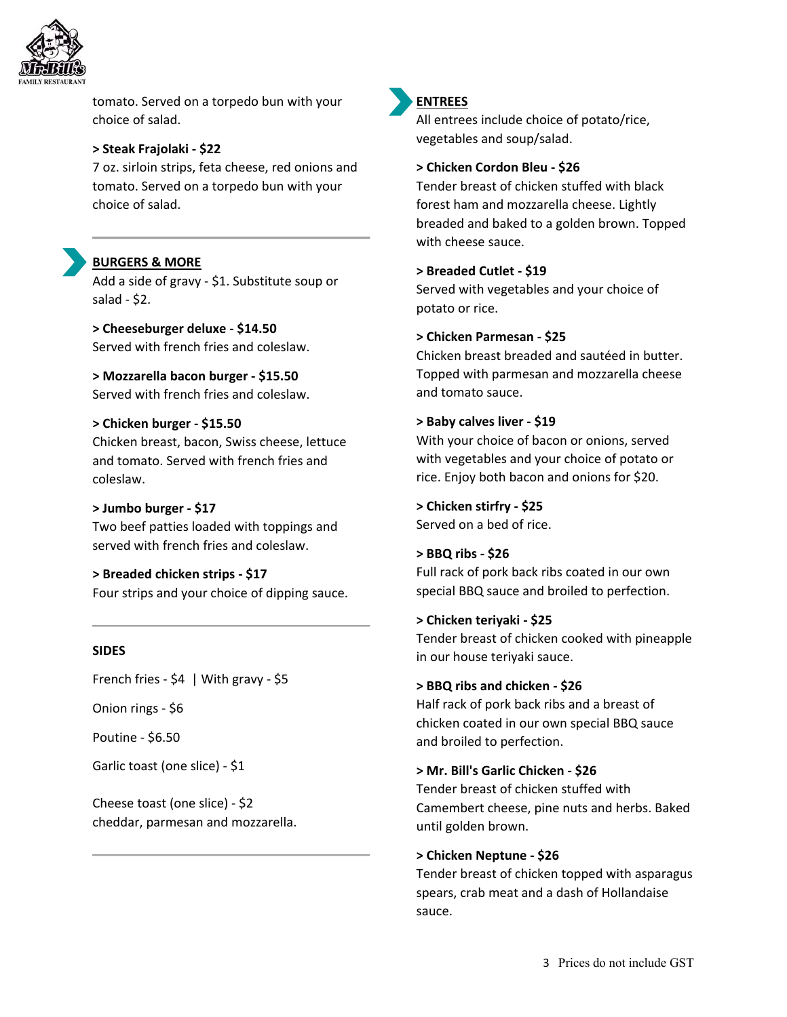

tomato. Served on a torpedo bun with your choice of salad.

#### **> Steak Frajolaki ‐ \$22**

7 oz. sirloin strips, feta cheese, red onions and tomato. Served on a torpedo bun with your choice of salad.



### **BURGERS & MORE**

Add a side of gravy ‐ \$1. Substitute soup or salad ‐ \$2.

**> Cheeseburger deluxe ‐ \$14.50** Served with french fries and coleslaw.

**> Mozzarella bacon burger ‐ \$15.50** Served with french fries and coleslaw.

#### **> Chicken burger ‐ \$15.50**

Chicken breast, bacon, Swiss cheese, lettuce and tomato. Served with french fries and coleslaw.

#### **> Jumbo burger ‐ \$17**

Two beef patties loaded with toppings and served with french fries and coleslaw.

# **> Breaded chicken strips ‐ \$17**

Four strips and your choice of dipping sauce.

#### **SIDES**

French fries - \$4 | With gravy - \$5

Onion rings ‐ \$6

Poutine ‐ \$6.50

Garlic toast (one slice) ‐ \$1

Cheese toast (one slice) ‐ \$2 cheddar, parmesan and mozzarella.



#### **ENTREES**

All entrees include choice of potato/rice, vegetables and soup/salad.

#### **> Chicken Cordon Bleu ‐ \$26**

Tender breast of chicken stuffed with black forest ham and mozzarella cheese. Lightly breaded and baked to a golden brown. Topped with cheese sauce.

#### **> Breaded Cutlet ‐ \$19**

Served with vegetables and your choice of potato or rice.

#### **> Chicken Parmesan ‐ \$25**

Chicken breast breaded and sautéed in butter. Topped with parmesan and mozzarella cheese and tomato sauce.

#### **> Baby calves liver ‐ \$19**

With your choice of bacon or onions, served with vegetables and your choice of potato or rice. Enjoy both bacon and onions for \$20.

## **> Chicken stirfry ‐ \$25**

Served on a bed of rice.

#### **> BBQ ribs ‐ \$26**

Full rack of pork back ribs coated in our own special BBQ sauce and broiled to perfection.

#### **> Chicken teriyaki ‐ \$25**

Tender breast of chicken cooked with pineapple in our house teriyaki sauce.

#### **> BBQ ribs and chicken ‐ \$26**

Half rack of pork back ribs and a breast of chicken coated in our own special BBQ sauce and broiled to perfection.

#### **> Mr. Bill's Garlic Chicken ‐ \$26**

Tender breast of chicken stuffed with Camembert cheese, pine nuts and herbs. Baked until golden brown.

#### **> Chicken Neptune ‐ \$26**

Tender breast of chicken topped with asparagus spears, crab meat and a dash of Hollandaise sauce.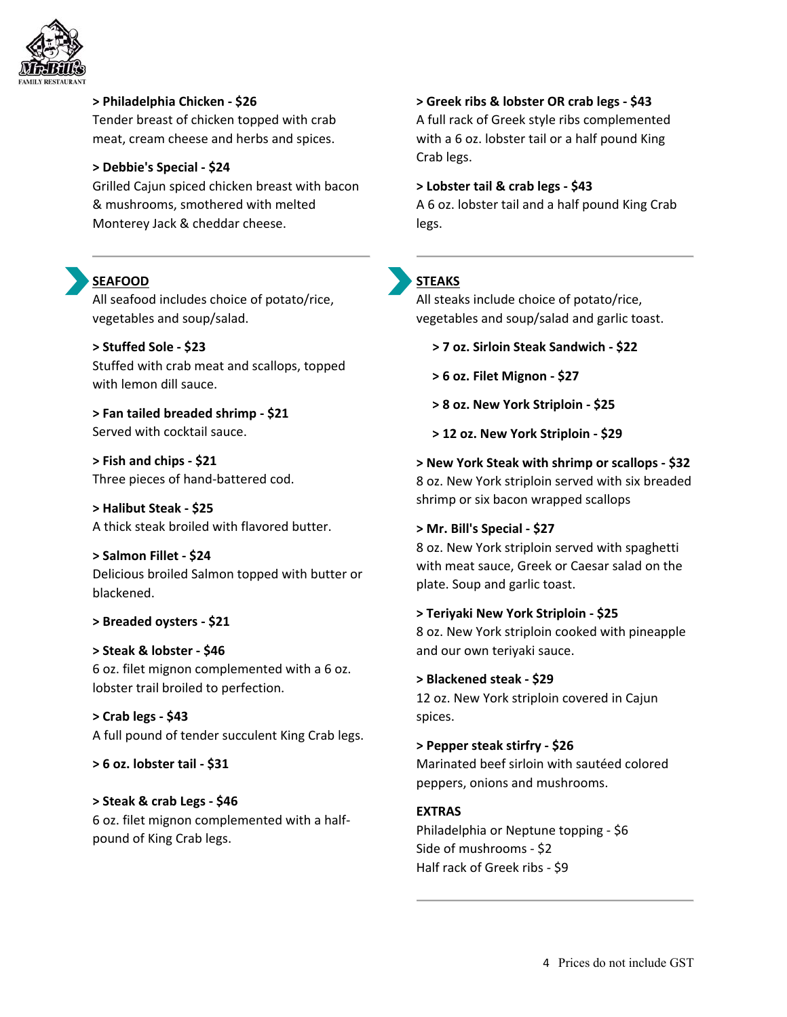

**> Philadelphia Chicken ‐ \$26**

Tender breast of chicken topped with crab meat, cream cheese and herbs and spices.

#### **> Debbie's Special ‐ \$24**

Grilled Cajun spiced chicken breast with bacon & mushrooms, smothered with melted Monterey Jack & cheddar cheese.

## **SEAFOOD**

All seafood includes choice of potato/rice, vegetables and soup/salad.

**> Stuffed Sole ‐ \$23** Stuffed with crab meat and scallops, topped with lemon dill sauce.

**> Fan tailed breaded shrimp ‐ \$21** Served with cocktail sauce.

**> Fish and chips ‐ \$21** Three pieces of hand‐battered cod.

**> Halibut Steak ‐ \$25** A thick steak broiled with flavored butter.

**> Salmon Fillet ‐ \$24** Delicious broiled Salmon topped with butter or blackened.

**> Breaded oysters ‐ \$21** 

**> Steak & lobster ‐ \$46** 6 oz. filet mignon complemented with a 6 oz. lobster trail broiled to perfection.

**> Crab legs ‐ \$43** A full pound of tender succulent King Crab legs.

**> 6 oz. lobster tail ‐ \$31**

**> Steak & crab Legs ‐ \$46** 6 oz. filet mignon complemented with a half‐ pound of King Crab legs.

**> Greek ribs & lobster OR crab legs ‐ \$43** A full rack of Greek style ribs complemented with a 6 oz. lobster tail or a half pound King Crab legs.

**> Lobster tail & crab legs ‐ \$43** A 6 oz. lobster tail and a half pound King Crab legs.

### **STEAKS**

All steaks include choice of potato/rice, vegetables and soup/salad and garlic toast.

- **> 7 oz. Sirloin Steak Sandwich ‐ \$22**
- **> 6 oz. Filet Mignon ‐ \$27**
- **> 8 oz. New York Striploin ‐ \$25**
- **> 12 oz. New York Striploin ‐ \$29**

**> New York Steak with shrimp or scallops ‐ \$32** 8 oz. New York striploin served with six breaded shrimp or six bacon wrapped scallops

#### **> Mr. Bill's Special ‐ \$27**

8 oz. New York striploin served with spaghetti with meat sauce, Greek or Caesar salad on the plate. Soup and garlic toast.

**> Teriyaki New York Striploin ‐ \$25** 8 oz. New York striploin cooked with pineapple and our own teriyaki sauce.

**> Blackened steak ‐ \$29** 12 oz. New York striploin covered in Cajun spices.

**> Pepper steak stirfry ‐ \$26** Marinated beef sirloin with sautéed colored peppers, onions and mushrooms.

## **EXTRAS**

Philadelphia or Neptune topping ‐ \$6 Side of mushrooms ‐ \$2 Half rack of Greek ribs ‐ \$9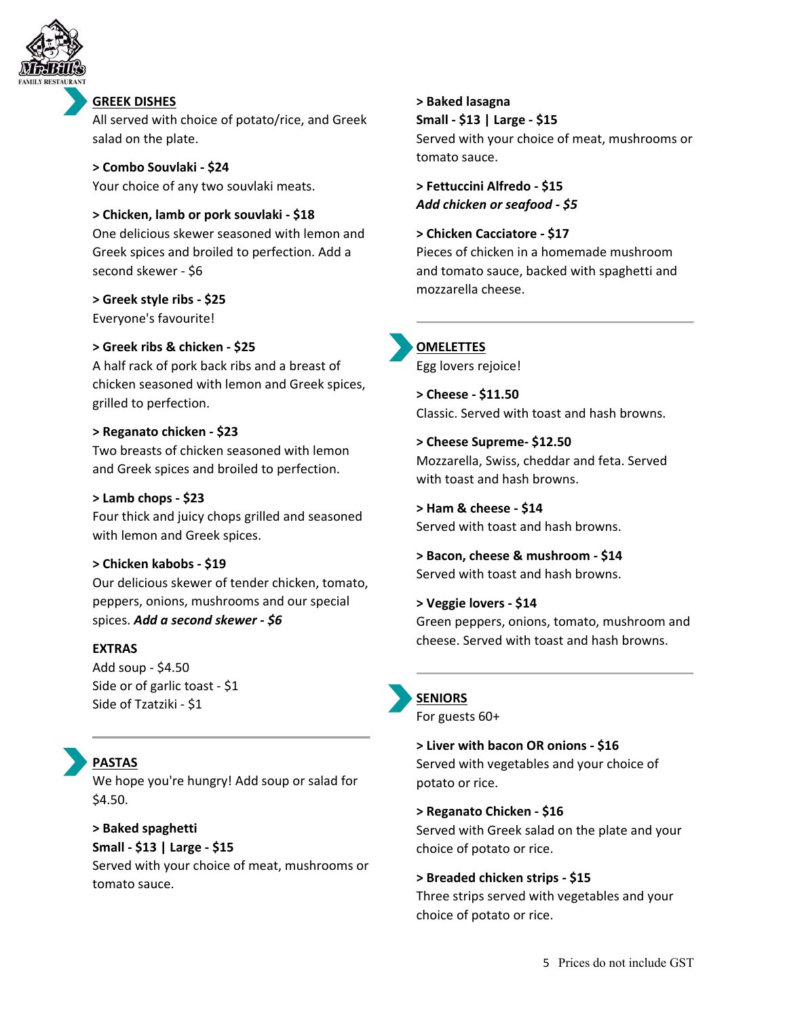

#### **GREEK DISHES**

All served with choice of potato/rice, and Greek salad on the plate.

**> Combo Souvlaki ‐ \$24** Your choice of any two souvlaki meats.

#### **> Chicken, lamb or pork souvlaki ‐ \$18**

One delicious skewer seasoned with lemon and Greek spices and broiled to perfection. Add a second skewer ‐ \$6

**> Greek style ribs ‐ \$25** Everyone's favourite!

#### **> Greek ribs & chicken ‐ \$25**

A half rack of pork back ribs and a breast of chicken seasoned with lemon and Greek spices, grilled to perfection.

#### **> Reganato chicken ‐ \$23**

Two breasts of chicken seasoned with lemon and Greek spices and broiled to perfection.

#### **> Lamb chops ‐ \$23**

Four thick and juicy chops grilled and seasoned with lemon and Greek spices.

#### **> Chicken kabobs ‐ \$19**

Our delicious skewer of tender chicken, tomato, peppers, onions, mushrooms and our special spices. *Add a second skewer ‐ \$6*

#### **EXTRAS**

Add soup ‐ \$4.50 Side or of garlic toast - \$1 Side of Tzatziki ‐ \$1

# **PASTAS**

We hope you're hungry! Add soup or salad for \$4.50.

#### **> Baked spaghetti Small ‐ \$13 | Large ‐ \$15**

Served with your choice of meat, mushrooms or tomato sauce.

### **> Baked lasagna**

**Small ‐ \$13 | Large ‐ \$15**

Served with your choice of meat, mushrooms or tomato sauce.

**> Fettuccini Alfredo ‐ \$15** *Add chicken or seafood ‐ \$5*

#### **> Chicken Cacciatore ‐ \$17** Pieces of chicken in a homemade mushroom

and tomato sauce, backed with spaghetti and mozzarella cheese.

### **OMELETTES**

Egg lovers rejoice!

**> Cheese ‐ \$11.50** Classic. Served with toast and hash browns.

**> Cheese Supreme‐ \$12.50** Mozzarella, Swiss, cheddar and feta. Served with toast and hash browns.

**> Ham & cheese ‐ \$14** Served with toast and hash browns.

**> Bacon, cheese & mushroom ‐ \$14** Served with toast and hash browns.

**> Veggie lovers ‐ \$14** Green peppers, onions, tomato, mushroom and cheese. Served with toast and hash browns.

### **SENIORS**

For guests 60+

**> Liver with bacon OR onions ‐ \$16** Served with vegetables and your choice of potato or rice.

**> Reganato Chicken ‐ \$16** Served with Greek salad on the plate and your choice of potato or rice.

#### **> Breaded chicken strips ‐ \$15**

Three strips served with vegetables and your choice of potato or rice.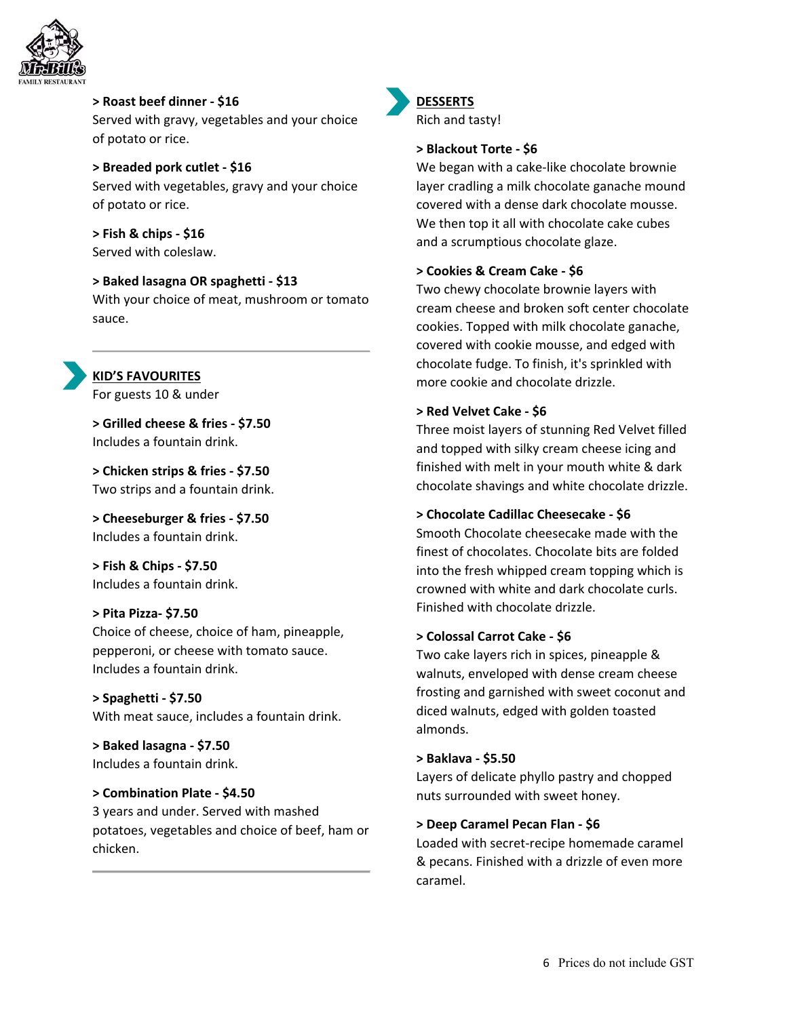

**> Roast beef dinner ‐ \$16** Served with gravy, vegetables and your choice of potato or rice.

**> Breaded pork cutlet ‐ \$16** Served with vegetables, gravy and your choice of potato or rice.

**> Fish & chips ‐ \$16** Served with coleslaw.

**> Baked lasagna OR spaghetti ‐ \$13** With your choice of meat, mushroom or tomato sauce.

**KID'S FAVOURITES** For guests 10 & under

**> Grilled cheese & fries ‐ \$7.50** Includes a fountain drink.

**> Chicken strips & fries ‐ \$7.50** Two strips and a fountain drink.

**> Cheeseburger & fries ‐ \$7.50** Includes a fountain drink.

**> Fish & Chips ‐ \$7.50** Includes a fountain drink.

#### **> Pita Pizza‐ \$7.50**

Choice of cheese, choice of ham, pineapple, pepperoni, or cheese with tomato sauce. Includes a fountain drink.

**> Spaghetti ‐ \$7.50** With meat sauce, includes a fountain drink.

**> Baked lasagna ‐ \$7.50** Includes a fountain drink.

**> Combination Plate ‐ \$4.50** 3 years and under. Served with mashed potatoes, vegetables and choice of beef, ham or chicken.



### **DESSERTS**

Rich and tasty!

#### **> Blackout Torte ‐ \$6**

We began with a cake‐like chocolate brownie layer cradling a milk chocolate ganache mound covered with a dense dark chocolate mousse. We then top it all with chocolate cake cubes and a scrumptious chocolate glaze.

### **> Cookies & Cream Cake ‐ \$6**

Two chewy chocolate brownie layers with cream cheese and broken soft center chocolate cookies. Topped with milk chocolate ganache, covered with cookie mousse, and edged with chocolate fudge. To finish, it's sprinkled with more cookie and chocolate drizzle.

#### **> Red Velvet Cake ‐ \$6**

Three moist layers of stunning Red Velvet filled and topped with silky cream cheese icing and finished with melt in your mouth white & dark chocolate shavings and white chocolate drizzle.

#### **> Chocolate Cadillac Cheesecake ‐ \$6**

Smooth Chocolate cheesecake made with the finest of chocolates. Chocolate bits are folded into the fresh whipped cream topping which is crowned with white and dark chocolate curls. Finished with chocolate drizzle.

#### **> Colossal Carrot Cake ‐ \$6**

Two cake layers rich in spices, pineapple & walnuts, enveloped with dense cream cheese frosting and garnished with sweet coconut and diced walnuts, edged with golden toasted almonds.

#### **> Baklava ‐ \$5.50**

Layers of delicate phyllo pastry and chopped nuts surrounded with sweet honey.

#### **> Deep Caramel Pecan Flan ‐ \$6**

Loaded with secret‐recipe homemade caramel & pecans. Finished with a drizzle of even more caramel.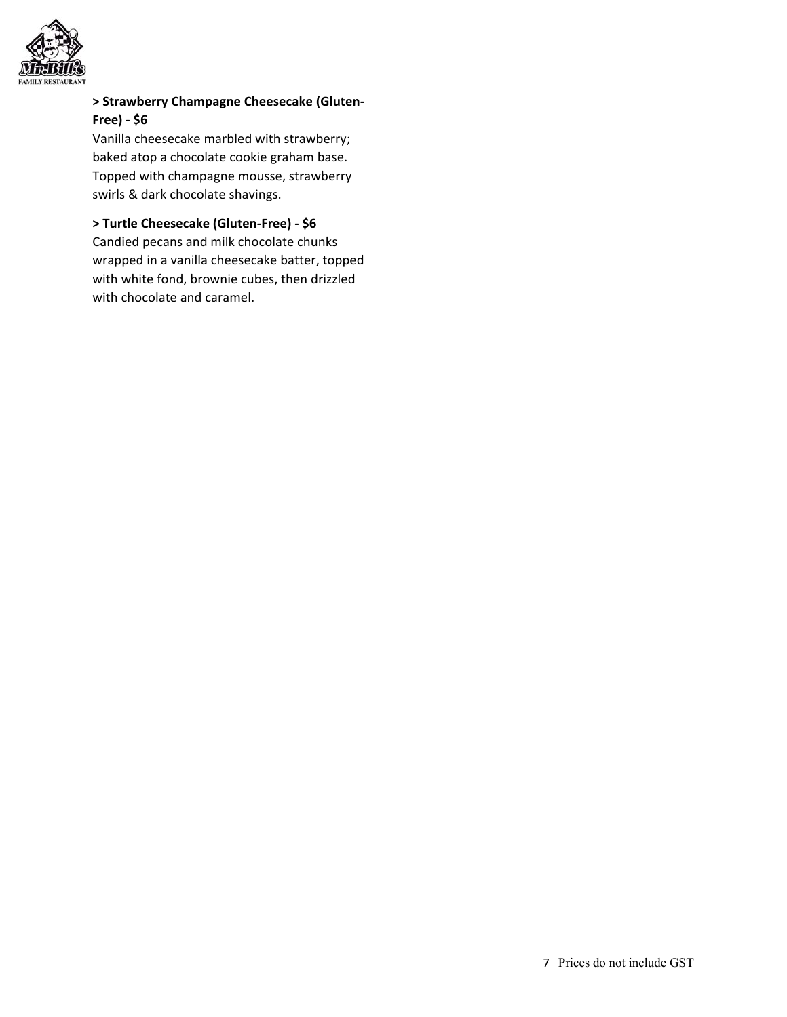

### **> Strawberry Champagne Cheesecake (Gluten‐ Free) ‐ \$6**

Vanilla cheesecake marbled with strawberry; baked atop a chocolate cookie graham base. Topped with champagne mousse, strawberry swirls & dark chocolate shavings.

### **> Turtle Cheesecake (Gluten‐Free) ‐ \$6**

Candied pecans and milk chocolate chunks wrapped in a vanilla cheesecake batter, topped with white fond, brownie cubes, then drizzled with chocolate and caramel.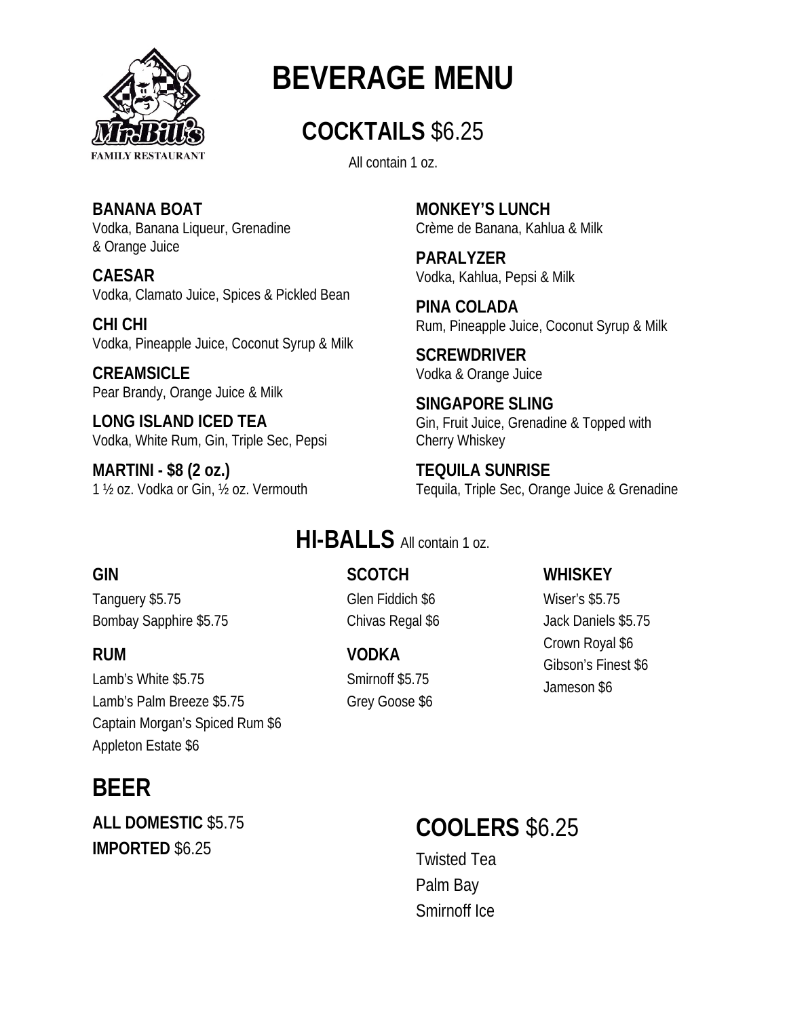

# **BEVERAGE MENU**

# **COCKTAILS** \$6.25

All contain 1 oz.

**BANANA BOAT** Vodka, Banana Liqueur, Grenadine & Orange Juice

**CAESAR** Vodka, Clamato Juice, Spices & Pickled Bean

**CHI CHI** Vodka, Pineapple Juice, Coconut Syrup & Milk

**CREAMSICLE** Pear Brandy, Orange Juice & Milk

**LONG ISLAND ICED TEA** Vodka, White Rum, Gin, Triple Sec, Pepsi

**MARTINI - \$8 (2 oz.)** 1 ½ oz. Vodka or Gin, ½ oz. Vermouth **MONKEY'S LUNCH** Crème de Banana, Kahlua & Milk

**PARALYZER** Vodka, Kahlua, Pepsi & Milk

**PINA COLADA** Rum, Pineapple Juice, Coconut Syrup & Milk

**SCREWDRIVER** Vodka & Orange Juice

**SINGAPORE SLING** Gin, Fruit Juice, Grenadine & Topped with Cherry Whiskey

**TEQUILA SUNRISE** Tequila, Triple Sec, Orange Juice & Grenadine

# **HI-BALLS** All contain 1 oz.

# **GIN**

Tanguery \$5.75 Bombay Sapphire \$5.75

## **RUM**

Lamb's White \$5.75 Lamb's Palm Breeze \$5.75 Captain Morgan's Spiced Rum \$6 Appleton Estate \$6

# **BEER**

**ALL DOMESTIC** \$5.75 **IMPORTED** \$6.25

**SCOTCH** Glen Fiddich \$6 Chivas Regal \$6

**VODKA** Smirnoff \$5.75 Grey Goose \$6

# **WHISKEY**

Wiser's \$5.75 Jack Daniels \$5.75 Crown Royal \$6 Gibson's Finest \$6 Jameson \$6

# **COOLERS** \$6.25

Twisted Tea Palm Bay Smirnoff Ice